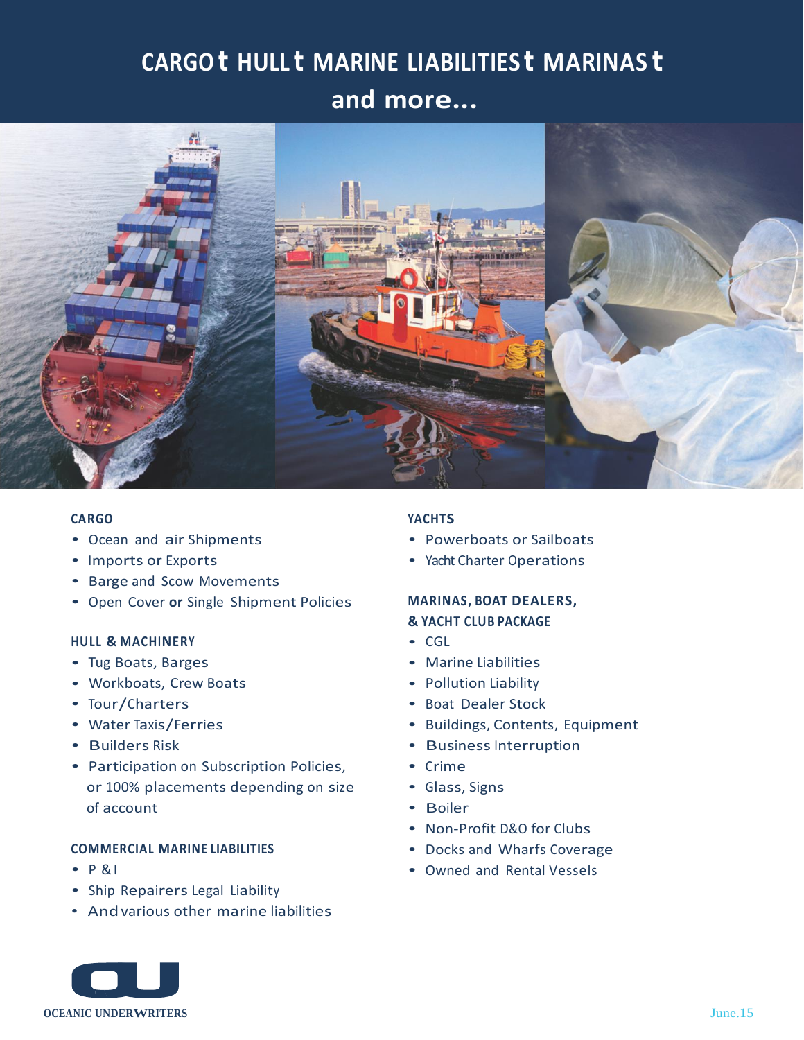# **CARGO t HULL t MARINE LIABILITIES t MARINAS t**

## **and more...**



#### **CARGO**

- Ocean and air Shipments
- Imports or Exports
- Barge and Scow Movements
- Open Cover **or** Single Shipment Policies

#### **HULL & MACHINERY**

- Tug Boats, Barges
- Workboats, Crew Boats
- Tour/Charters
- Water Taxis/Ferries
- Builders Risk
- Participation on Subscription Policies, or 100% placements depending on size of account

#### **COMMERCIAL MARINE LIABILITIES**

- $\cdot$  P & I
- Ship Repairers Legal Liability
- Andvarious other marine liabilities

#### **YACHTS**

- Powerboats or Sailboats
- Yacht Charter Operations

### **MARINAS, BOAT DEALERS, & YACHT CLUB PACKAGE**

- CGL
- Marine Liabilities
- Pollution Liability
- Boat Dealer Stock
- Buildings, Contents, Equipment
- Business Interruption
- Crime
- Glass, Signs
- Boiler
- Non-Profit D&O for Clubs
- Docks and Wharfs Coverage
- Owned and Rental Vessels